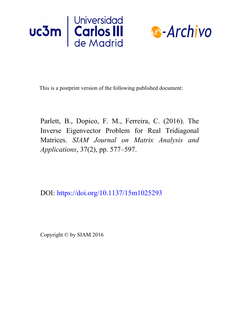



This is a postprint version of the following published document:

Parlett, B., Dopico, F. M., Ferreira, C. (2016). The Inverse Eigenvector Problem for Real Tridiagonal Matrices. *SIAM Journal on Matrix Analysis and Applications*, 37(2), pp. 577–597.

DOI: <https://doi.org/10.1137/15m1025293>

Copyright © by SIAM 2016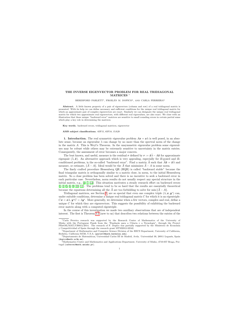# THE INVERSE EIGENVECTOR PROBLEM FOR REAL TRIDIAGONAL MATRICES <sup>∗</sup>

#### $\rm BERESFORM$ D PARLETT<sup>†</sup>, FROILÁN M. DOPICO $^{\ddagger}$ , AND CARLA FERREIRA $^{\S}$

Abstract. A little known property of a pair of eigenvectors (column and row) of a real tridiagonal matrix is presented. With its help we can define necessary and sufficient conditions for the unique real tridiagonal matrix for which an approximate pair of complex eigenvectors are exact. Similarly we can designate the unique real tridiagonal matrix for which two approximate real eigenvectors, with different real eigenvalues, are also exact. We close with an illustration that these unique "backward error" matrices are sensitive to small rounding errors in certain partial sums which play a key role in determining the matrices.

Key words. backward errors, tridiagonal matrices, eigenvector

#### AMS subject classifications. 65F15, 65F18, 15A29

1. Introduction. The real symmetric eigenvalue problem  $Ax = x\lambda$  is well posed, in an absolute sense, because an eigenvalue  $\lambda$  can change by no more than the spectral norm of the change in the matrix  $A$ . This is Weyl's Theorem. In the unsymmetric eigenvalue problem some eigenvalues may be robust while others may be extremely sensitive to uncertainty in the matrix entries. Consequently, the assessment of error becomes a major concern.

The best known, and useful, measure is the residual r defined by  $r := \hat{x}\hat{\lambda} - A\hat{x}$  for approximate eigenpair  $(\lambda, \hat{\boldsymbol{x}})$ . An alternative approach which is very appealing, especially for ill-posed and illconditioned problems, is the so-called "backward error". Find a matrix  $\hat{A}$  such that  $\hat{A}\hat{x} = \hat{x}\hat{\lambda}$  and measure, or estimate,  $\|\hat{A} - A\|$ . Ideal would be the  $\hat{A}$  that minimizes  $\hat{A} - A$  in some norm.

The finely crafted procedure Hessenberg QR (HQR) is called "backward stable" because the final triangular matrix is orthogonally similar to a matrix close, in norm, to the initial Hessenberg matrix. So a close problem has been solved and there is no incentive to seek a backward error in each particular case. Nevertheless, norm results do not usually respect any special structure in the initial matrix, e.g., [\[4,](#page-21-0) [7,](#page-21-1) [12\]](#page-21-2). This situation motivates a steady research effort on backward errors [\[1,](#page-21-3) [2,](#page-21-4) [5,](#page-21-5) [6,](#page-21-6) [8,](#page-21-7) [10,](#page-21-8) [11\]](#page-21-9). The problems tend to be so hard that the results are essentially theoretical because the equations determining all the  $\hat{A}$  are too forbidding to solve for min  $\|\hat{A} - A\|$ .

Tridiagonal matrices, see Section [2,](#page-2-0) are so special that even one complex triple  $(\lambda, x, y^*)$  can, under suitable conditions, determine a unique real tridiagonal matrix  $C$  for which it is an eigentriple:  $Cx = x\lambda, y^*C = \lambda y^*$ . More generally, we determine when a few vectors, complex and real, define a unique  $C$  for which they are eigenvectors. This suggests the possibility of exhibiting the backward error matrix along with a computed eigentriple.

In the course of this investigation we made two auxiliary observations that are of independent interest. The first is Theorem [3.2](#page-3-0) (new to us) that describes two relations between the entries of the

<sup>∗</sup>Carla Ferreira research was supported by the Research Centre of Mathematics of the University of Minho with the Portuguese Funds from the "Fundação para a Ciência e a Tecnologia", through the Project PEstOE/MAT/UI0013/2014. The research of F. Dopico was partially supported by the Ministerio de Economía y Competitividad of Spain through the research grant MTM2012-32542.

<sup>†</sup>Department of Mathematics and Computer Science Division of the EECS Department, University of California, Berkeley, California 94720, U.S.A. (parlett@math.berkeley.edu).

<sup>&</sup>lt;sup>‡</sup>Departamento de Matemáticas, Universidad Carlos III de Madrid, Avda. Universidad 30, 28911 Leganés, Spain (dopico@math.uc3m.es).

<sup>§</sup>Mathematics Centre and Mathematics and Applications Department, University of Minho, 4710-057 Braga, Portugal (caferrei@math.uminho.pt).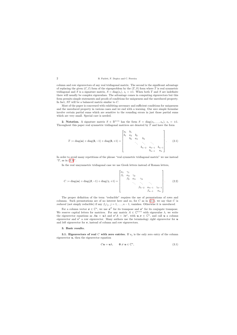column and row eigenvectors of any real tridiagonal matrix. The second is the significant advantage of replacing the given  $(C, I)$  form of the eigenproblem by the  $(T, S)$  form where T is real symmetric tridiagonal and S is a signature matrix,  $S = diag(s_i)$ ,  $s_i = \pm 1$ . When both T and S are indefinite there will usually be complex eigenvalues. The advantage comes in computing eigenvectors but this form permits simple statements and proofs of conditions for uniqueness and the unreduced property. In fact, ST will be a balanced matrix similar to C.

Most of the paper is concerned with exhibiting necessary and sufficient conditions for uniqueness and the unreduced property in various cases and we end with a warning. Our nice simple formulae involve certain partial sums which are sensitive to the rounding errors in just those partial sums which are very small. Special care is needed.

**2. Notation.** A signature matrix  $S \in \mathbb{R}^{n \times n}$  has the form  $S = \text{diag}(s_1, \ldots, s_n)$ ,  $s_i = \pm 1$ . Throughout this paper real symmetric tridiagonal matrices are denoted by T and have the form

$$
T := \text{diag}(\boldsymbol{a}) + \text{diag}(\boldsymbol{b}, -1) + \text{diag}(\boldsymbol{b}, +1) = \begin{bmatrix} a_1 & b_1 & & & & \\ b_1 & a_2 & b_2 & & & \\ & b_2 & a_3 & b_3 & & \\ & & \ddots & \ddots & \ddots & \\ & & & b_{n-2} & a_{n-1} & b_{n-1} \\ & & & & b_{n-1} & a_n \end{bmatrix} .
$$
 (2.1)

<span id="page-2-0"></span>In order to avoid many repetitions of the phrase "real symmetric tridiagonal matrix" we use instead "T, as in  $(2.1)$ ".

In the real unsymmetric tridiagonal case we use Greek letters instead of Roman letters,

$$
C := \text{diag}(\boldsymbol{\alpha}) + \text{diag}(\boldsymbol{\beta}, -1) + \text{diag}(\boldsymbol{\gamma}, +1) = \begin{bmatrix} \alpha_1 & \gamma_1 \\ \beta_1 & \alpha_2 & \gamma_2 \\ & \beta_2 & \alpha_3 & \gamma_3 \\ & & \ddots & \ddots & \ddots \\ & & & \beta_{n-2} & \alpha_{n-1} & \gamma_{n-1} \\ & & & \beta_{n-1} & \alpha_n \end{bmatrix} .
$$
 (2.2)

<span id="page-2-1"></span>The proper definition of the term "reducible" requires the use of permutations of rows and columns. Such permutations are of no interest here and so, for  $C$  as in  $(2.1)$ , we say that  $C$  is reduced (not simply reducible) if any  $\beta_j \gamma_j$ ,  $j = 1, \ldots, n - 1$ , vanishes. Otherwise it is unreduced.

For a column vector  $x \in \mathbb{C}^n$ , we use  $x^T$  for its transpose and  $x^*$  for its conjugate transpose. We reserve capital letters for matrices. For any matrix  $A \in \mathbb{C}^{n \times n}$  with eigenvalue  $\lambda$ , we write the eigenvector equations as  $Au = u\lambda$  and  $v^*A = \lambda v^*$ , with  $u, v \in \mathbb{C}^n$ , and call u a column eigenvector and  $v^*$  a row eigenvector. Many authors use the terminology right eigenvector for  $u$ and left eigenvector for  $v$ , instead of column and row eigenvectors.

### 3. Basic results.

<span id="page-2-4"></span><span id="page-2-3"></span>**3.1. Eigenvectors of real C with zero entries.** If  $u_j$  is the only zero entry of the column eigenvector  $u$ , then the eigenvector equation

<span id="page-2-2"></span>
$$
Cu = u\lambda, \qquad 0 \neq u \in \mathbb{C}^n,
$$
\n(3.1)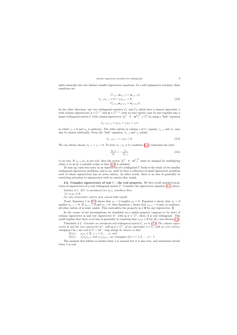splits naturally into two distinct smaller eigenvector equations. In a self explanatory notation, these equations are

$$
C_{1:j-1}u_{1:j-1} = u_{1:j-1}\lambda,
$$
  
\n
$$
\beta_{j-1}u_{j-1} + 0 + \gamma_j u_{j+1} = 0,
$$
  
\n
$$
C_{j+1:n}u_{j+1:n} = u_{j+1:n}\lambda.
$$
\n(3.2)

In the other direction, any two tridiagonal matrices  $C_1$  and  $C_2$  which have a shared eigenvalue  $\lambda$ with column eigenvectors  $z \in \mathbb{C}^{j-1}$  and  $w \in \mathbb{C}^{n-j}$ , with no zero entries, may be put together into a larger tridiagonal matrix C with column eigenvector  $\begin{bmatrix} z^T & 0 & \boldsymbol{w}^T \end{bmatrix}^T \in \mathbb{C}^n$  by using a "link" equation

$$
\beta_{j-1}z_{j-1} + \alpha_j z_j + \gamma_j w_1 = z_j \lambda
$$

in which  $z_j = 0$  and  $\alpha_j$  is arbitrary. The other entries in column j of C, namely,  $\gamma_{j-1}$  and  $\beta_j$ , may also be chosen arbitrarily. From the "link" equation,  $\beta_{j-1}$  and  $\gamma_j$  satisfy

$$
\beta_{j-1}z_{j-1} + \gamma_j w_1 = 0. \tag{3.3}
$$

We can always choose  $\beta_{j-1} = \gamma_j = 0$ . To have  $\beta_{j-1}\gamma_j \neq 0$ , condition [\(3.3\)](#page-3-1) constrains the ratio

$$
\frac{z_{j-1}}{w_1} = -\frac{\gamma_j}{\beta_{j-1}}\tag{3.4}
$$

to be real. If  $z_{j-1}/w_1$  is not real, then the vector  $[z^T \quad 0 \quad w^T]^T$  must be changed by multiplying either z or  $w$  by a suitable scalar so that  $(3.4)$  is satisfied.

To sum up, each zero entry in an eigenvector of a tridiagonal  $C$  leads to the study of two smaller tridiagonal eigenvector problems, and so on, until we have a collection of small eigenvector problems each of whose eigenvectors has no zeros entries. In other words, there is no loss of generality in restricting attention to eigenvectors with no entries that vanish.

3.2. Complex eigenvectors of real  $C$  - the real property. We first recall standard properties of eigenvectors of a real tridiagonal matrix C. Consider the eigenvector equation [\(3.1\)](#page-2-2) above.

LEMMA 3.1. If C is unreduced (no  $\beta_j \gamma_j$  vanishes) then

<span id="page-3-1"></span>(*i*)  $u_1 u_n \neq 0;$ 

<span id="page-3-2"></span>(ii) two consecutive entries of  $\boldsymbol{u}$  cannot both vanish.

*Proof.* Equation 1 in [\(3.1\)](#page-2-2) shows that  $u_1 = 0$  implies  $u_2 = 0$ . Equation n shows that  $u_n = 0$ implies  $u_{n-1} = 0$ . If  $u_{i-1} = 0$  and  $u_i = 0$ , then Equation j shows that  $u_{i+1} = 0$  and, in sequence, all other entries of u must vanish. This contradicts the property  $u \neq 0$  for any eigenvector.  $\Box$ 

In the course of our investigations we stumbled on a useful property (appears to be new) of column eigenvector **u** and row eigenvector  $v^*$ , with  $u, v \in \mathbb{C}^n$ , when A is real tridiagonal. This result implies that there is no loss of generality in requiring that  $u_jv_j \in \mathbb{R}$  for all j (see Section [4.2\)](#page-8-0).

THEOREM 3.2. Consider an unreduced real tridiagonal matrix  $C$ , as in  $(2.2)$ . The column eigenvector **u** and the row eigenvector  $v^*$ , with  $u, v \in \mathbb{C}^n$ , of an eigenvalue  $\lambda \in \mathbb{C}$ , with no zero entries, satisfying  $C\mathbf{u} = \mathbf{u}\lambda$  and  $\mathbf{v}^*C = \lambda \mathbf{v}^*$ , may always be chosen so that

 $P_1(j): \quad u_jv_j \in \mathbb{R}, \ j=1,2,\ldots,n, \ and$ 

 $P_2(j)$ :  $\beta_j u_j v_{j+1}$  and  $\gamma_j v_j u_{j+1}$  are conjugates for  $j = 1, 2, ..., n - 1$ .

<span id="page-3-3"></span><span id="page-3-0"></span>The analysis that follows is needed when  $\lambda$  is nonreal but it is also true, and sometimes trivial, when  $\lambda$  is real.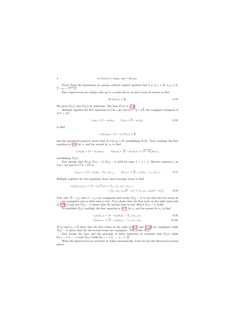*Proof.* From the hypotheses we assume without explicit mention that  $0 \neq \beta_j \gamma_j \in \mathbb{R}$ ,  $u_1v_1 \neq 0$ ,  $\overline{\lambda} - \alpha_j = \overline{\lambda - \alpha_j}.$ 

Since eigenvectors are unique only up to a scalar factor,  $u$  and  $v$  may be chosen so that

$$
(0 \neq) u_1 v_1 \in \mathbb{R}.\tag{3.5}
$$

We prove  $P_1(j)$  and  $P_2(j)$  by induction. The base  $P_1(1)$  is [\(3.5\)](#page-4-0).

Multiply together the first equations in  $C\bm{u} = \bm{u}\lambda$  and in  $C^T\bm{v} = \bm{v}\overline{\lambda}$ , the conjugate transpose of  $v^*C = \lambda v^*,$ 

$$
\gamma_1 u_2 = (\lambda - \alpha_1) u_1, \qquad \beta_1 v_2 = (\overline{\lambda} - \alpha_1) v_1,\tag{3.6}
$$

to find

$$
\gamma_1 \beta_1 u_2 v_2 = |\lambda - \alpha_1|^2 u_1 v_1 \in \mathbb{R}
$$

and the unreduced property shows that  $(0 \neq)u_2v_2 \in \mathbb{R}$ , establishing  $P_1(2)$ . Next, multiply the first equation in [\(3.6\)](#page-4-1) by  $v_1$  and the second by  $u_1$  to find

<span id="page-4-0"></span>
$$
\gamma_1 v_1 u_2 = (\lambda - \alpha_1) u_1 v_1, \qquad \beta_1 u_1 v_2 = (\overline{\lambda} - \alpha_1) u_1 v_1 = (\overline{\lambda - \alpha_1}) u_1 v_1,
$$

establishing  $P_2(1)$ .

Now assume that  $P_1(j), P_1(j-1), P_2(j-1)$  hold for some  $1 < j < n$ . Rewrite equation j in  $C\boldsymbol{u} = \boldsymbol{u}\lambda$  and in  $C^T\boldsymbol{v} = \boldsymbol{v}\overline{\lambda}$  as

$$
\gamma_j u_{j+1} = (\lambda - \alpha_j) u_j - \beta_{j-1} u_{j-1}, \qquad \beta_j v_{j+1} = (\overline{\lambda} - \alpha_j) v_j - \gamma_{j-1} v_{j-1}.
$$
\n(3.7)

<span id="page-4-1"></span>Multiply together the two equations above and rearrange terms to find

$$
\gamma_j \beta_j u_{j+1} v_{j+1} = |\lambda - \alpha_j|^2 u_j v_j + \beta_{j-1} \gamma_{j-1} u_{j-1} v_{j-1} - \left[ \beta_{j-1} u_{j-1} v_j (\overline{\lambda} - \alpha_j) + \gamma_{j-1} v_{j-1} u_j (\lambda - \alpha_j) \right].
$$
\n(3.8)

Note that  $(\overline{\lambda} - \alpha_i)$  and  $(\lambda - \alpha_i)$  are conjugates and invoke  $P_2(j-1)$  to see that the two terms in  $\lceil \cdot \rceil$  are conjugates and so their sum is real.  $P_1(j)$  shows that the first term on the right hand side of [\(3.8\)](#page-4-2) is real and  $P_1(j-1)$  shows that the second term is real. Hence  $P_1(j+1)$  holds.

To establish  $P_2(j)$  multiply the first equation in [\(3.7\)](#page-4-3) by  $v_j$  and the second by  $u_j$  to find

$$
\gamma_j v_j u_{j+1} = (\lambda - \alpha_j) u_j v_j - \beta_{j-1} u_{j-1} v_j \tag{3.9}
$$

<span id="page-4-5"></span><span id="page-4-4"></span><span id="page-4-2"></span>
$$
\beta_j u_j v_{j+1} = (\overline{\lambda} - \alpha_j) u_j v_j - \gamma_{j-1} v_{j-1} u_j. \tag{3.10}
$$

<span id="page-4-3"></span> $P_1(j)$  and  $\alpha_j \in \mathbb{R}$  show that the first terms on the right of [\(3.9\)](#page-4-4) and [\(3.10\)](#page-4-5) are conjugates while  $P_2(j-1)$  shows that the the second terms are conjugates. This yields  $P_2(j)$ .

Now invoke the base and the principle of finite induction to conclude that  $P_1(j)$  holds for  $j = 1, 2, ..., n$  and  $P_2(j)$  holds for  $j = 1, 2, ..., n - 1$ .  $\Box$ 

When the eigenvectors are real then  $P_1$  holds automatically. Later we use this theorem in several places.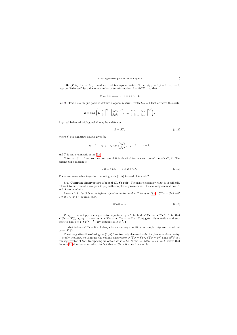**3.3.** (T, S) form. Any unreduced real tridiagonal matrix C, i.e.,  $\beta_j \gamma_j \neq 0, j = 1, \ldots, n - 1$ , may be "balanced" by a diagonal similarity transformation  $B = ECE^{-1}$  so that

$$
|B_{i,i+1}| = |B_{i+1,i}|, \quad i = 1 : n-1.
$$

See [\[9\]](#page-21-10). There is a unique positive definite diagonal matrix E with  $E_{11} = 1$  that achieves this state,

$$
E = \text{diag}\left(1, \left|\frac{\gamma_1}{\beta_1}\right|^{1/2}, \left|\frac{\gamma_1\gamma_2}{\beta_1\beta_2}\right|^{1/2}, \dots, \left|\frac{\gamma_1\gamma_2\cdots\gamma_{n-1}}{\beta_1\beta_2\cdots\beta_{n-1}}\right|^{1/2}\right).
$$

Any real balanced tridiagonal B may be written as

$$
B = ST,\tag{3.11}
$$

<span id="page-5-1"></span>where  $S$  is a signature matrix given by

$$
s_1 = 1
$$
,  $s_{j+1} = s_j \text{ sign}\left(\frac{\gamma_j}{\beta_j}\right)$ ,  $j = 1, ..., n-1$ ,

and  $T$  is real symmetric as in  $(2.1)$ .

Note that  $S^2 = I$  and so the spectrum of B is identical to the spectrum of the pair  $(T, S)$ . The eigenvector equation is

$$
Tx = Sx\lambda, \qquad 0 \neq x \in \mathbb{C}^n. \tag{3.12}
$$

There are many advantages in computing with  $(T, S)$  instead of B and C.

3.4. Complex eigenvectors of a real  $(T, S)$  pair. The next elementary result is specifically relevant to our case of a real pair  $(T, S)$  with complex eigenvector x. This can only occur if both T and S are indefinite.

LEMMA 3.3. Let S be an indefinite signature matrix and let T be as in [\(2.1\)](#page-2-1). If  $Tx = Sx\lambda$  with  $\mathbf{0} \neq \mathbf{x} \in \mathbb{C}$  and  $\lambda$  nonreal, then

$$
\boldsymbol{x}^* S \boldsymbol{x} = 0. \tag{3.13}
$$

*Proof.* Premultiply the eigenvector equation by  $x^*$  to find  $x^*Tx = x^*Sx\lambda$ . Note that  $x^*Sx = \sum_{k=1}^n s_k |x_k|^2$  is real as is  $x^*Tx = x^TT\overline{x} = \overline{x^*Tx}$ . Conjugate this equation and subtract to find  $0 = \mathbf{x}^* S \mathbf{x} (\lambda - \overline{\lambda})$ . By assumption  $\lambda \neq \overline{\lambda}$ .

In what follows  $x^*Sx = 0$  will always be a necessary condition on complex eigenvectors of real pairs  $(T, S)$ .

<span id="page-5-0"></span>The strong attraction of using the  $(T, S)$  form to study eigenvectors is that, because of symmetry, it is only necessary to compute the column eigenvector  $x(Tx = Sx\lambda, STx = x\lambda)$  since  $x^T S$  is a row eigenvector of ST: transposing we obtain  $x^TT = \lambda x^TS$  and  $(x^TS)ST = \lambda x^TS$ . Observe that Lemma [3.3](#page-5-0) does not contradict the fact that  $x^T S x \neq 0$  when  $\lambda$  is simple.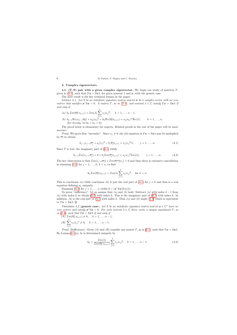### 4. Complex eigenvectors.

4.1.  $(T, S)$  pair with a given complex eigenvector. We begin our study of matrices T, given in [\(2.1\)](#page-2-1), such that  $T\mathbf{x} = S\mathbf{x}\lambda$ , for given nonreal  $\lambda$  and  $\mathbf{x}$ , with the generic case.

The next result is the key technical lemma in the paper.

LEMMA 4.1. Let  $S$  be an indefinite signature matrix and let  $\boldsymbol{x}$  be a complex vector with no zero entries that satisfies  $x^*Sx = 0$ . A matrix T, as in [\(2.1\)](#page-2-1), and nonreal  $\lambda \in \mathbb{C}$  satisfy  $Tx = Sx\lambda$  if and only if

(a) 
$$
b_k \mathcal{I}m(\overline{x_k} x_{k+1}) = \mathcal{I}m(\lambda) \sum_{j=1}^k s_j |x_j|^2
$$
,  $k = 1, ..., n-1$ ,  
\n(b)  $b_{k-1} \mathcal{R}e(x_{k-1} \overline{x_k}) + a_k |x_k|^2 + b_k \mathcal{R}e(\overline{x_k} x_{k+1}) = s_k |x_k|^2 \mathcal{R}e(\lambda)$ ,  $k = 1, ..., n$ ,  
\n(for brevity, let  $b_0 = b_n = 0$ ).

The proof below is elementary for experts. Related proofs in the rest of the paper will be more succinct.

<span id="page-6-6"></span>*Proof.* We prove first "necessity". Since  $x_j \neq 0$ , the jth equation in  $Tx = Sx\lambda$  may be multiplied by  $\overline{x_j}$  to obtain

$$
b_{j-1}x_{j-1}\overline{x_j} + a_j|x_j|^2 + b_j\overline{x_j}x_{j+1} = s_j|x_j|^2\lambda, \qquad j = 1, \dots, n. \tag{4.1}
$$

<span id="page-6-5"></span>Since  $T$  is real, the imaginary part of  $(4.1)$  yields

$$
b_{j-1}\mathcal{I}m(x_{j-1}\overline{x_j}) + 0 + b_j\mathcal{I}m(\overline{x_j}x_{j+1}) = s_j|x_j|^2\mathcal{I}m(\lambda), \qquad j = 1,\dots, n.
$$
 (4.2)

<span id="page-6-2"></span>The key observation is that  $\mathcal{I}m(x_{j-1}\overline{x_j}) + \mathcal{I}m(\overline{x_{j-1}}x_j) = 0$  and thus there is extensive cancellation in summing [\(4.2\)](#page-6-1) for  $j = 1, \ldots, k, k < n$ , to find

<span id="page-6-0"></span>
$$
b_k \operatorname{Im}(\overline{x_k} x_{k+1}) = \operatorname{Im}(\lambda) \sum_{j=1}^k s_j |x_j|^2, \quad \text{for } k < n.
$$

This is conclusion (a) while conclusion (b) is just the real part of [\(4.1\)](#page-6-0) for  $j = k$  and thus is a real equation defining  $a_k$  uniquely.

Summing [\(4.2\)](#page-6-1) for  $j = 1, ..., n$  yields  $0 = (\boldsymbol{x}^* S \boldsymbol{x}) \mathcal{I} m(\lambda)$ .

To prove "sufficiency", let us assume that  $(a)$  and  $(b)$  hold. Subtract  $(a)$  with index  $k-1$  from (a) with index k to obtain [\(4.2\)](#page-6-1) with index k. This is the imaginary part of  $(4.1)$  with index k. In addition,  $(b)$  is the real part of [\(4.1\)](#page-6-0) with index k. Thus (a) and (b) imply (4.1) which is equivalent to  $Tx = Sx\lambda$ .  $\Box$ 

THEOREM 4.2 (generic case). Let S be an indefinite signature matrix and let  $\mathbf{x} \in \mathbb{C}^n$  have no zero entries and satisfy  $x^*Sx = 0$ . For each nonreal  $\lambda \in \mathbb{C}$  there exists a unique unreduced T, as in [\(2.1\)](#page-2-1), such that  $T\mathbf{x} = S\mathbf{x}\lambda$  if and only if

(A) 
$$
\mathcal{I}m(\overline{x_k} x_{k+1}) \neq 0
$$
,  $k = 1,..., n-1$ ,  
\n(B)  $\sum_{j=1}^k s_j |x_j|^2 \neq 0$ ,  $k = 1,..., n-1$ .

<span id="page-6-4"></span>*Proof.* [Sufficiency]. Given (A) and (B) consider any matrix T, as in [\(2.1\)](#page-2-1), such that  $Tx = Sx\lambda$ . By Lemma [4.1](#page-6-2)(*a*),  $b_k$  is determined uniquely by

<span id="page-6-3"></span><span id="page-6-1"></span>
$$
b_k = \frac{\mathcal{I}m(\lambda)}{\mathcal{I}m(\overline{x_k} x_{k+1})} \sum_{j=1}^k s_j |x_j|^2, \quad k = 1, \dots, n-1,
$$
\n(4.3)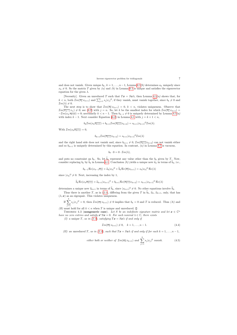and does not vanish. Given unique  $b_k$ ,  $k = 1, ..., n - 1$ , Lemma [4.1](#page-6-2)(b) determines  $a_k$  uniquely since  $x_k \neq 0$ . So the matrix T given by (a) and (b) in Lemma [4.1](#page-6-2) is unique and satisfies the eigenvector equation for the given  $\lambda$ .

[Necessity]. Given an unreduced T such that  $Tx = Sx\lambda$ , then Lemma [4.1](#page-6-2)(*a*) shows that, for  $k < n$ , both  $\mathcal{I}m(\overline{x_k} x_{k+1})$  and  $\sum_{j=1}^k s_j |x_j|^2$ , if they vanish, must vanish together, since  $b_k \neq 0$  and  $\mathcal{I}m(\lambda) \neq 0.$ 

The next step is to show that  $\mathcal{I}m(\overline{x_k} x_{k+1}) = 0, k < n$ , violates uniqueness. Observe that  $\mathcal{I}m(\overline{x_{n-1}} x_n) \neq 0$ ; see [\(4.2\)](#page-6-1) with  $j = n$ . So, let k be the smallest index for which  $\mathcal{I}m(\overline{x_k} x_{k+1}) =$  $-\mathcal{I}m(x_k \overline{x_{k+1}}) = 0$ ; necessarily  $k < n - 1$ . Then  $b_{k-1} \neq 0$  is uniquely determined by Lemma [4.1](#page-6-2)(a) with index  $k - 1$ . Next consider Equation [\(4.2\)](#page-6-1) in Lemma [4.1](#page-6-2) with  $j = k + 1 < n$ ,

$$
b_k \mathcal{I}m(x_k \overline{x_{k+1}}) + b_{k+1} \mathcal{I}m(\overline{x_{k+1}} x_{k+2}) = s_{k+1}|x_{k+1}|^2 \mathcal{I}m(\lambda).
$$

With  $\mathcal{I}m(x_k\overline{x_{k+1}}) = 0$ ,

$$
b_{k+1}\mathcal{I}m(\overline{x_{k+1}}x_{k+2}) = s_{k+1}|x_{k+1}|^2\mathcal{I}m(\lambda)
$$

and the right hand side does not vanish and, since  $b_{k+1} \neq 0$ ,  $\mathcal{I}m(\overline{x_{k+1}}x_{k+2})$  can not vanish either and so  $b_{k+1}$  is uniquely determined by this equation. In contrast,  $(a)$  in Lemma [4.1](#page-6-2) is vacuous,

$$
b_k \cdot 0 = 0 \cdot \mathcal{I}m(\lambda),
$$

and puts no constraint on  $b_k$ . So, let  $\tilde{b}_k$  represent any value other than the  $b_k$  given by  $T_k$ . Now, consider replacing  $b_k$  by  $\tilde{b}_k$  in Lemma [4.1.](#page-6-2) Conclusion (b) yields a unique new  $\tilde{a}_k$  in terms of  $\tilde{b}_k$ , i.e.,

$$
b_{k-1}\mathcal{R}e(x_{k-1}\overline{x_k}) + \widetilde{a}_k|x_k|^2 + \widetilde{b}_k\mathcal{R}e(\overline{x_k}x_{k+1}) = s_k|x_k|^2 \mathcal{R}e(\lambda)
$$

since  $|x_k|^2 \neq 0$ . Next, increasing the index by 1,

$$
\widetilde{b}_k \mathcal{R}e(x_k \overline{x_{k+1}}) + \widetilde{a}_{k+1}|x_{k+1}|^2 + b_{k+1} \mathcal{R}e(\overline{x_{k+1}}x_{k+2}) = s_{k+1}|x_{k+1}|^2 \mathcal{R}e(\lambda)
$$

determines a unique new  $\tilde{a}_{k+1}$  in terms of  $b_k$ , since  $|x_{k+1}|^2 \neq 0$ . No other equations involve  $b_k$ .<br>Thus there is easily  $T$  as in (9.1) diffusive from the given  $T$  in  $\tilde{b}$ ,  $\tilde{c}$ ,  $\tilde{c}$  and the theo

Thus there is another T, as in [\(2.1\)](#page-2-1), differing from the given T in  $\tilde{b}_k$ ,  $\tilde{a}_k$ ,  $\tilde{a}_{k+1}$ , only, that has  $(\lambda, x)$  as an eigenpair. This violates uniqueness.

If 
$$
\sum_{j=1}^{k} s_j |x_j|^2 = 0
$$
, then  $\mathcal{I}m(\overline{x_k} x_{k+1}) \neq 0$  implies that  $b_k = 0$  and T is reduced. Thus (A) and

(B) must hold for all  $k < n$  when T is unique and unreduced.  $\square$ 

THEOREM 4.3 (nongeneric case). Let S be an indefinite signature matrix and let  $x \in \mathbb{C}^n$ have no zero entries and satisfy  $x^*Sx = 0$ . For each nonreal  $\lambda \in \mathbb{C}$ , there exists

(I) a unique T, as in [\(2.1\)](#page-2-1), satisfying  $T\mathbf{x} = S\mathbf{x}\lambda$  if and only if

$$
\mathcal{I}m(\overline{x_k}\,x_{k+1}) \neq 0, \quad k = 1, \dots, n-1. \tag{4.4}
$$

<span id="page-7-2"></span><span id="page-7-1"></span>(II) an unreduced T, as in [\(2.1\)](#page-2-1), such that  $Tx = Sx\lambda$  if and only if for each  $k = 1, ..., n - 1$ ,

<span id="page-7-0"></span>*either both or neither of* 
$$
\mathcal{I}m(\overline{x_k} x_{k+1})
$$
 *and*  $\sum_{j=1}^k s_j |x_j|^2$  *vanish.* (4.5)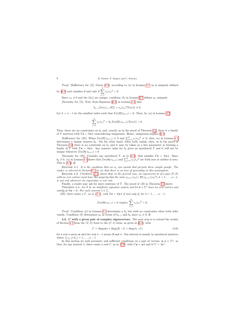*Proof.* [Sufficiency for  $(I)$ ]. Given [\(4.4\)](#page-7-0), according to (a) in Lemma [4.1,](#page-6-2)  $b_k$  is uniquely defined by [\(4.3\)](#page-6-3) and vanishes if and only if  $\sum_{k=1}^{k}$  $s_j |x_j|^2 = 0.$ 

 $j=1$ Since  $x_k \neq 0$  and the  $\{b_k\}$  are unique, condition (b) in Lemma [4.1](#page-6-2) defines  $a_k$  uniquely. [Necessity for (I)]. Note, from Equation [\(4.2\)](#page-6-1) in Lemma [4.1,](#page-6-2) that

$$
b_{n-1}\mathcal{I}m(x_{n-1}\overline{x_n}) = s_n|x_n|^2 \mathcal{I}m(\lambda) \neq 0.
$$

Let  $k < n-1$  be the smallest index such that  $\mathcal{I}m(\overline{x_k}x_{k+1}) = 0$ . Then, by (a) in Lemma [4.1,](#page-6-2)

$$
\sum_{j=1}^{k} s_j |x_j|^2 = b_k \mathcal{I}m(\overline{x_k} x_{k+1})/\mathcal{I}m(\lambda) = 0.
$$

Thus, there are no constraints on  $b_k$  and, exactly as in the proof of Theorem [4.2,](#page-6-4) there is a family of T matrices with  $T\mathbf{x} = S\mathbf{x}\lambda$  contradicting uniqueness. Hence, uniqueness implies [\(4.4\)](#page-7-0).

[Sufficiency for *(II)*]. When  $\mathcal{I}m(\overline{x_k} x_{k+1}) \neq 0$  and  $\sum_{j=1}^k s_j |x_j|^2 \neq 0$ , then *(a)* in Lemma [4.1](#page-6-2) determines a unique nonzero  $b_k$ . On the other hand, when both vanish, then, as in the proof of Theorem [4.2,](#page-6-4) there is no constraint on  $b_k$  and it may be taken as a free parameter in forming a family of T with  $Tx = Sx\lambda$ . Any nonzero value for  $b_k$  gives an unreduced T and it will not be unique whenever  $\mathcal{I}m(\overline{x_k} x_{k+1}) = 0$ .

[Necessity for *(II)*]. Consider any unreduced T, as in [\(2.1\)](#page-2-1), that satisfies  $T\mathbf{x} = S\mathbf{x}\lambda$ . Since  $b_k \neq 0$ , (a) in Lemma [4.1](#page-6-2) shows that  $\mathcal{I}m(\overline{x_k} x_{k+1})$  and  $\sum_{j=1}^k s_j |x_j|^2$  are both zero or neither is zero. This is  $(4.5)$ .  $\Box$ 

REMARK 4.1. It is the condition that no  $x_k$  can vanish that permits these simple proofs. The reader is referred to Section [3.1](#page-2-4) to see that there is no loss of generality in this assumption.

REMARK 4.2. Condition  $(4.4)$  shows that, in the general case, an eigenvector x of a pair  $(T, S)$ with no zero entries must have the property that the ratio  $x_{k+1}/x_k (= \overline{x_k} x_{k+1}/|x_k|^2), k = 1, \ldots, n-1$ , is not real whenever its eigenvalue is not real.

Finally, a reader may ask for mere existence of  $T$ . The proof of  $(II)$  in Theorem [4.3](#page-7-2) shows

THEOREM 4.4. Let S be an indefinite signature matrix and let  $\mathbf{x} \in \mathbb{C}^n$  have no zero entries and satisfy  $\mathbf{x}^* S \mathbf{x} = 0$ . For each nonreal  $\lambda \in \mathbb{C}$ ,

(III) there exists a T, as in [\(2.1\)](#page-2-1), with  $Tx = Sx\lambda$  if and only if, for  $k = 1, ..., n - 1$ ,

$$
\mathcal{I}m(\overline{x_k} x_{k+1}) = 0 \implies \sum_{j=1}^k s_j |x_j|^2 = 0.
$$

*Proof.* Condition (a) in Lemma [4.1](#page-6-2) determines a  $b_k$  but with no constraints when both sides vanish. Condition (b) determines  $a_k$  in terms of  $b_{k-1}$  and  $b_k$  since  $x_k \neq 0$ .  $\Box$ 

4.2. C with a given pair of complex eigenvectors. The next step is to extend the results of Section [4.1](#page-6-5) from the  $(T, S)$  form to the  $(C, I)$  form, as given in  $(2.2)$ , with

$$
C = diag(\alpha) + diag(\beta, -1) + diag(\gamma, +1)
$$
\n(4.6)

for a real n-array  $\alpha$  and two real  $n-1$  arrays  $\beta$  and  $\gamma$ . Our interest is mainly in unreduced matrices where  $\beta_j \gamma_j \neq 0, j = 1, \ldots, n - 1$ .

<span id="page-8-2"></span><span id="page-8-1"></span><span id="page-8-0"></span>In this section we seek necessary and sufficient conditions on a pair of vectors,  $u, v \in \mathbb{C}^n$ , so that, for any nonreal  $\lambda$ , there exists a real C, as in [\(4.6\)](#page-8-1), with  $Cu = u\lambda$  and  $v^*C = \lambda v^*$ .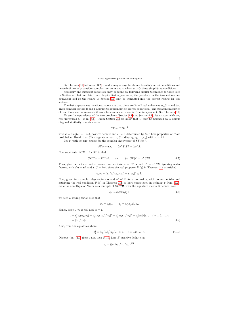By Theorem [3.2](#page-3-0) in Section [3.2,](#page-3-3)  $u$  and  $v$  may always be chosen to satisfy certain conditions and henceforth we only consider complex vectors  $u$  and  $v$  which satisfy these simplifying conditions.

Necessary and sufficient conditions may be found by following similar techniques to those used in Section [4.1](#page-6-5) but we claim that, despite first appearances, the problems in the two sections are equivalent and so the results in Section [4.1](#page-6-5) may be translated into the correct results for this section.

The first appearances mentioned above are that there are  $3n-2$  real unkonwns  $\alpha, \beta, \gamma$  and two given complex vectors  $\boldsymbol{u}$  and  $\boldsymbol{v}$  amount to approximately 4n real conditions. The apparent mismatch of conditions and unknowns is illusory because  $u$  and  $v$  are far from independent. See Theorem [3.2.](#page-3-0)

To see the equivalence of the two problems (Section [4.1](#page-6-5) and Section [4.2\)](#page-8-0), let us start with any real unreduced  $C$ , as in [\(4.6\)](#page-8-1). From Section [3.3](#page-5-1) we know that  $C$  may be balanced by a unique diagonal similarity transformation

$$
ST = ECE^{-1}
$$

with  $E = \text{diag}(e_1, \ldots, e_n)$ , positive definite and  $e_1 = 1$ , determined by C. These properties of E are used below. Recall that S is a signature matrix,  $S = diag(s_1, s_2, \ldots, s_n)$  with  $s_i = \pm 1$ .

Let  $x$ , with no zero entries, be the complex eigenvector of  $ST$  for  $\lambda$ ,

$$
STx = x\lambda, \qquad (x^T S)ST = \lambda x^T S.
$$

Now substitute  $ECE^{-1}$  for  $ST$  to find

$$
CE^{-1}x = E^{-1}x\lambda \quad \text{and} \quad (x^T SE)C = x^T SE\lambda. \tag{4.7}
$$

Thus, given x, with E and S known, we can take  $u = E^{-1}x$  and  $v^* = x^T SE$ , ignoring scalar factors, with  $C\mathbf{u} = \mathbf{u}\lambda$  and  $\mathbf{v}^*C = \lambda \mathbf{v}^*$ , since the real property  $P_1(j)$  in Theorem [3.2](#page-3-0) is satisfied,

$$
u_j v_j = (x_j/e_j)(\overline{x_j}s_j e_j) = s_j|x_j|^2 \in \mathbb{R}.
$$

Now, given two complex eigenvectors  $u$  and  $v^*$  of C for a nonreal  $\lambda$ , with no zero entries and satisfying the real condition  $P_1(j)$  in Theorem [3.2,](#page-3-0) to have consistency in defining x from [\(4.7\)](#page-9-0), either as a multiple of Eu or as a multiple of  $SE^{-1}\overline{v}$ , with the signature matrix S defined from

$$
s_j := \text{sign}(u_j v_j),\tag{4.8}
$$

we need a scaling factor  $\mu$  so that

$$
x_j = e_j u_j, \qquad x_j = (s_j \overline{v_j} \mu) / e_j.
$$

<span id="page-9-0"></span>Hence, since  $u_jv_j$  is real and  $e_1 = 1$ ,

$$
\mu = e_j^2 s_j (u_j/\overline{v_j}) = e_j^2 (s_j u_j v_j) / |v_j|^2 = e_j^2 |u_j v_j| / |v_j|^2 = e_j^2 |u_j| / |v_j|, \quad j = 1, 2, ..., n
$$
  
= |u\_1| / |v\_1|. (4.9)

Also, from the equalities above,

$$
e_j^2 = |v_j/v_1|/|u_j/u_1| > 0, \quad j = 1, 2, \dots, n.
$$
\n(4.10)

Observe that [\(4.9\)](#page-9-1) fixes  $\mu$  and then [\(4.10\)](#page-9-2) fixes E, positive definite, as

<span id="page-9-2"></span><span id="page-9-1"></span>
$$
e_j = (|v_j/v_1|/|u_j/u_1|)^{1/2}.
$$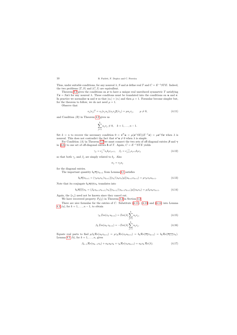Thus, under suitable conditions, for any nonreal  $\lambda$ , S and x define real T and  $C = E^{-1}STE$ . Indeed, the two problems  $(T, S)$  and  $(C, I)$  are equivalent.

Theorem [4.2](#page-6-4) gives the conditions on  $x$  to have a unique real unreduced symmetric T satisfying  $T x = S x \lambda$  for any nonreal  $\lambda$ . These conditions must be translated into the conditions on u and v. In practice we normalize u and v so that  $|u_1| = |v_1|$  and then  $\mu = 1$ . Formulae become simpler but, for the theorem to follow, we do not need  $\mu = 1$ .

Observe that

$$
s_j|x_j|^2 = s_j(e_ju_j)(s_jv_j\overline{\mu}/e_j) = \mu u_jv_j, \qquad \mu \neq 0,
$$
\n(4.11)

and Condition  $(B)$  in Theorem [4.2](#page-6-4) gives us

$$
\sum_{j=1}^{k} u_j v_j \neq 0, \quad k = 1, \dots, n-1.
$$

Set  $k = n$  to recover the necessary condition  $0 = \mathbf{v}^T \mathbf{u} = \mu(\mathbf{x}^* SE)(E^{-1}\mathbf{x}) = \mu \mathbf{x}^* S \mathbf{x}$  when  $\lambda$  is nonreal. This does not contradict the fact that  $v^*u \neq 0$  when  $\lambda$  is simple.

For Condition (A) in Theorem [4.2](#page-6-4) we must connect the two sets of off-diagonal entries  $\beta$  and  $\gamma$ in [\(4.6\)](#page-8-1) to one set of off-diagonal entries **b** of T. Again,  $C = E^{-1}STE$  yields

$$
\gamma_j = e_j^{-1} s_j b_j e_{j+1}, \quad \beta_j = e_{j+1}^{-1} s_{j+1} b_j e_j \tag{4.12}
$$

so that both  $\gamma_j$  and  $\beta_j$  are simply related to  $b_j$ . Also

$$
\alpha_j = s_j a_j
$$

<span id="page-10-0"></span>for the diagonal entries.

The important quantity  $b_k\overline{x_k}x_{k+1}$  from Lemma [4.1](#page-6-2) satisfies

$$
b_k \overline{x_k} x_{k+1} = (\gamma_k s_k e_k / e_{k+1}) [v_k / (s_k e_k) \mu] (u_{k+1} e_{k+1}) = \mu \gamma_k v_k u_{k+1}.
$$
\n(4.13)

Note that its conjugate  $b_k \overline{x_{k+1}} x_k$  translates into

$$
b_k \overline{x_{k+1}} x_k = (\beta_k s_{k+1} e_{k+1}/e_k) [v_{k+1}/(s_{k+1} e_{k+1})\mu](u_k e_k) = \mu \beta_k u_k v_{k+1}.
$$
 (4.14)

Again, the  $\{e_j\}$  need not be known since they cancel out.

We have recovered property  $P_2(j)$  in Theorem [3.2](#page-3-0) in Section [3.2.](#page-3-3)

There are nice formulae for the entries of C. Substitute  $(4.11)$ ,  $(4.13)$  and  $(4.14)$  into Lemma [4.1](#page-6-2) *(a)*, for  $k = 1, ..., n - 1$ , to obtain

$$
\gamma_k \mathcal{I}m(v_k u_{k+1}) = \mathcal{I}m(\lambda) \sum_{j=1}^k u_j v_j,
$$
\n(4.15)

$$
\beta_k \mathcal{I}m(u_k v_{k+1}) = -\mathcal{I}m(\lambda) \sum_{j=1}^k u_j v_j.
$$
\n(4.16)

<span id="page-10-2"></span><span id="page-10-1"></span>Equate real parts to find  $\mu \beta_k \mathcal{R}e(u_k v_{k+1}) = \mu \gamma_k \mathcal{R}e(v_k u_{k+1}) = b_k \mathcal{R}e(\overline{x_k} x_{k+1}) = b_k \mathcal{R}e(\overline{x_{k+1}} x_k).$ Lemma [4.1](#page-6-2) *(b)*, for  $k = 1, \ldots, n$ , gives

<span id="page-10-5"></span><span id="page-10-4"></span><span id="page-10-3"></span>
$$
\beta_{k-1} \mathcal{R}e(u_{k-1}v_k) + \alpha_k u_k v_k + \gamma_k \mathcal{R}e(v_k u_{k+1}) = u_k v_k \mathcal{R}e(\lambda).
$$
 (4.17)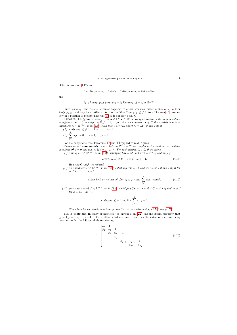Other versions of [\(4.17\)](#page-10-3) are

$$
\gamma_{k-1}\mathcal{R}e(u_kv_{k-1}) + \alpha_k u_kv_k + \gamma_k \mathcal{R}e(v_ku_{k+1}) = u_kv_k \mathcal{R}e(\lambda)
$$

and

$$
\beta_{k-1}\mathcal{R}e(u_{k-1}v_k)+\alpha_ku_kv_k+\beta_k\mathcal{R}e(u_kv_{k+1})=u_kv_k\mathcal{R}e(\lambda).
$$

Since  $\gamma_k v_k u_{k+1}$  and  $\beta_k u_k v_{k+1}$  vanish together, if either vanishes, either  $\mathcal{I}m(v_k u_{k+1}) \neq 0$  or  $\mathcal{I}m(u_kv_{k+1})\neq 0$  may be substituted for the condition  $\mathcal{I}m(\overline{x_k}x_{k+1})\neq 0$  from Theorem [4.2.](#page-6-4) We are now in a position to restate Theorem [4.2](#page-6-4) as it applies to real C.

THEOREM 4.5 (generic case). Let  $u \in \mathbb{C}^n$ ,  $v \in \mathbb{C}^n$  be complex vectors with no zero entries satisfying  $v^T u = 0$  and  $u_j v_j \in \mathbb{R}, j = 1, \ldots, n$ . For each nonreal  $\lambda \in \mathbb{C}$  there exists a unique unreduced  $C \in \mathbb{R}^{n \times n}$ , as in [\(2.2\)](#page-2-3), such that  $C\mathbf{u} = \mathbf{u}\lambda$  and  $\mathbf{v}^*C = \lambda \mathbf{v}^*$  if and only if

$$
(A) \ \mathcal{I}_m(v_k u_{k+1}) \neq 0, \quad k = 1, \dots, n-1,
$$

$$
(B) \sum_{j=1} u_j v_j \neq 0, \quad k = 1, \dots, n-1.
$$

For the nongeneric case Theorems [4.3](#page-7-2) and [4.4](#page-8-2) applied to real  $C$  gives

THEOREM 4.6 (nongeneric case). Let  $u \in \mathbb{C}^n$ ,  $v \in \mathbb{C}^n$  be complex vectors with no zero entries satisfying  $v^T u = 0$  and  $u_j v_j \in \mathbb{R}, j = 1, \ldots, n$ . For each nonreal  $\lambda \in \mathbb{C}$ , there exists

(I) a unique  $C \in \mathbb{R}^{n \times n}$ , as in [\(2.2\)](#page-2-3), satisfying  $Cu = u\lambda$  and  $v^*C = v^*\lambda$  if and only if

$$
\mathcal{I}m(v_k u_{k+1}) \neq 0, \quad k = 1, \dots, n-1. \tag{4.18}
$$

However C might be reduced.

(II) an unreduced  $C \in \mathbb{R}^{n \times n}$ , as in [\(2.2\)](#page-2-3), satisfying  $C\mathbf{u} = \mathbf{u}\lambda$  and  $\mathbf{v}^*C = \mathbf{v}^*\lambda$  if and only if for  $each \ k = 1, \ldots, n-1,$ 

*either both or neither of* 
$$
\mathcal{I}m(v_k u_{k+1})
$$
 *and*  $\sum_{j=1}^k u_j v_j$  *vanish.* (4.19)

(III) (mere existence)  $C \in \mathbb{R}^{n \times n}$ , as in [\(2.2\)](#page-2-3), satisfying  $Cu = u\lambda$  and  $v^*C = v^*\lambda$  if and only if  $for k = 1, \ldots, n - 1,$ 

<span id="page-11-0"></span>
$$
\mathcal{I}m(v_k u_{k+1}) = 0 \implies \sum_{j=1}^k u_j v_j = 0.
$$

When both terms vanish then both  $\gamma_k$  and  $\beta_k$  are unconstrained by [\(4.15\)](#page-10-4) and [\(4.16\)](#page-10-5).

4.3. J matrices. In many applications the matrix C in  $(2.2)$  has the special property that  $\gamma_i = 1, j = 1, 2, \ldots, n - 1$ . This is often called a J matrix and has the virtue of the form being invariant under the LR and dqds transforms,

<span id="page-11-1"></span>
$$
J = \begin{bmatrix} \alpha_1 & 1 & & & & \\ \beta_1 & \alpha_2 & 1 & & & \\ & \beta_2 & \alpha_3 & 1 & & \\ & & \ddots & \ddots & \ddots & \\ & & & \beta_{n-2} & \alpha_{n-1} & 1 \\ & & & & \beta_{n-1} & \alpha_n \end{bmatrix} .
$$
 (4.20)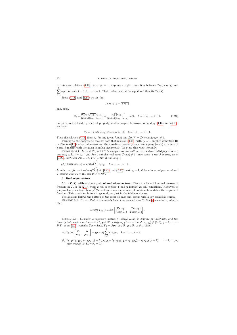In this case relation [\(4.15\)](#page-10-4), with  $\gamma_k = 1$ , imposes a tight connection between  $\mathcal{I}m(v_ku_{k+1})$  and  $\sum^k$  $j=1$  $u_jv_j$  for each  $k = 1, 2, \ldots, n - 1$ . Their ratios must all be equal and thus fix  $\mathcal{I}m(\lambda)$ .

From  $(4.13)$  and  $(4.14)$  we see that

$$
\beta_k u_k v_{k+1} = \overline{v_k u_{k+1}}
$$

and, thus,

$$
\beta_k = \frac{(\overline{v_k}v_k)(\overline{u_{k+1}}u_{k+1})}{(u_kv_k)(u_{k+1}v_{k+1})} = \frac{|v_k|^2|u_{k+1}|^2}{(u_kv_k)(u_{k+1}v_{k+1})} \neq 0, \quad k = 1, 2, \dots, n-1.
$$
\n(4.21)

So,  $\beta_k$  is well defined, by the real property, and is unique. Moreover, on adding [\(4.15\)](#page-10-4) and [\(4.16\)](#page-10-5), we have

$$
\beta_k = -\mathcal{I}m(v_k u_{k+1})/\mathcal{I}m(u_k v_{k+1}), \quad k = 1, 2, \dots, n-1.
$$

Then the relation [\(4.17\)](#page-10-3) fixes  $\alpha_k$  for any given  $\mathcal{R}e(\lambda)$  and  $\mathcal{I}m(\lambda) = \mathcal{I}m(v_1u_2)/u_1v_1 \neq 0$ .

Turning to the nongeneric case we note that relation [\(4.15\)](#page-10-4), with  $\gamma_k = 1$ , implies Condition III in Theorem [4.6](#page-11-0) and so uniqueness and the unreduced property must accompany (mere) existence of a real J matrix with the given complex eigenvector. We state this result formally.

THEOREM 4.7. Let  $u \in \mathbb{C}^n$ ,  $v \in \mathbb{C}^n$  be complex vectors with no zero entries satisfying  $v^T u = 0$ and  $u_i v_i \in \mathbb{R}$ ,  $i = 1, \ldots, n$ . For a suitable real value  $\mathcal{I}m(\lambda) \neq 0$  there exists a real J matrix, as in  $(4.20)$ , such that  $J\mathbf{u} = \mathbf{u}\lambda$ ,  $\mathbf{v}^* J = \lambda \mathbf{v}^*$  if and only if

(A) 
$$
\mathcal{I}m(v_k u_{k+1}) = \mathcal{I}m(\lambda) \sum_{j=1}^k u_j v_j, \quad k = 1, ..., n-1.
$$

<span id="page-12-0"></span>In this case, for each value of  $\mathcal{R}e(\lambda)$ , [\(4.21\)](#page-12-0) and [\(4.17\)](#page-10-3), with  $\gamma_k = 1$ , determine a unique unreduced *J* matrix with  $J\mathbf{u} = \mathbf{u}\lambda$  and  $\mathbf{v}^*J = \lambda \mathbf{v}^*$ .

## 5. Real eigenvectors.

5.1. (T, S) with a given pair of real eigenvectors. There are  $2n-1$  free real degrees of freedom in T, as in [\(2.1\)](#page-2-1), while 2 real n-vectors  $x$  and  $y$  impose 2n real conditions. However, in the problem considered here  $y^T S x = 0$  and thus the number of constraints matches the degrees of freedom. This condition is true in general, not just in the tridiagonal case.

The analysis follows the pattern of the complex case and begins with a key technical lemma.

REMARK 5.1. To see that determinants have been presented in Section  $4$  but hidden, observe that

$$
\mathcal{I}m(\overline{x_k}\,x_{k+1})=\det\begin{bmatrix} \mathcal{R}e(x_k) & \mathcal{I}m(x_k) \\ \mathcal{R}e(x_{k+1}) & \mathcal{I}m(x_{k+1}) \end{bmatrix}.
$$

LEMMA 5.1. Consider a signature matrix S, which could be definite or indefinite, and two linearly independent vectors  $\mathbf{x} \in \mathbb{R}^n$ ,  $\mathbf{y} \in \mathbb{R}^n$  satisfying  $\mathbf{y}^T S \mathbf{x} = 0$  and  $(x_j, y_j) \neq (0, 0)$ ,  $j = 1, \ldots, n$ . If T, as in [\(2.1\)](#page-2-1), satisfies  $T\mathbf{x} = S\mathbf{x}\lambda$ ,  $T\mathbf{y} = S\mathbf{y}\mu$ ,  $\lambda \in \mathbb{R}$ ,  $\mu \in \mathbb{R}$ ,  $\lambda \neq \mu$ , then

(a) 
$$
b_k \det \begin{bmatrix} x_k & y_k \\ x_{k+1} & y_{k+1} \end{bmatrix} = (\mu - \lambda) \sum_{j=1}^k s_j x_j y_j, \quad k = 1, ..., n-1.
$$

<span id="page-12-1"></span>(b)  $b_{k-1}(x_{k-1}y_k + x_ky_{k-1}) + 2a_kx_ky_k + b_k(x_ky_{k+1} + x_{k+1}y_k) = s_kx_ky_k(\mu + \lambda), \quad k = 1, \ldots, n,$ (for brevity, let  $b_0 = b_n = 0$ .)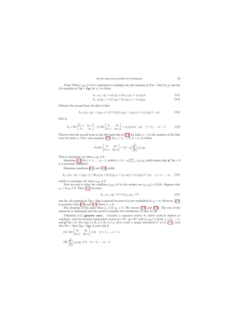*Proof.* When  $x_j y_j \neq 0$  it is legitimate to multiply the jth equation in  $T\mathbf{x} = S\mathbf{x}\lambda$  by  $y_j$  and the jth equation in  $T\mathbf{y} = S\mathbf{y}\mu$  by  $x_j$  to obtain

$$
b_{j-1}x_{j-1}y_j + a_jx_jy_j + b_jx_{j+1}y_j = s_jx_jy_j\lambda,
$$
\n(5.1)

$$
b_{j-1}x_jy_{j-1} + a_jx_jy_j + b_jx_jy_{j+1} = s_jx_jy_j\mu.
$$
\n(5.2)

Subtract the second from the first to find

$$
b_{j-1}(x_{j-1}y_j - x_jy_{j-1}) + 0 + b_j(x_{j+1}y_j - x_jy_{j+1}) = s_jx_jy_j(\lambda - \mu),
$$
\n(5.3)

that is,

$$
b_{j-1} \det \begin{bmatrix} x_{j-1} & y_{j-1} \\ x_j & y_j \end{bmatrix} - b_j \det \begin{bmatrix} x_j & y_j \\ x_{j+1} & y_{j+1} \end{bmatrix} = s_j x_j y_j (\lambda - \mu), \quad j = 1, \dots, n-1.
$$
 (5.4)

Observe that the second term on the left hand side of [\(5.4\)](#page-13-0) for index  $j-1$  is the negative of the first term for index j. Now, sum equation [\(5.4\)](#page-13-0) for  $j = 1, \ldots, k, k < n$ , to obtain

<span id="page-13-3"></span><span id="page-13-2"></span>
$$
-b_k \det \begin{bmatrix} x_k & y_k \\ x_{k+1} & y_{k+1} \end{bmatrix} = (\lambda - \mu) \sum_{j=1}^k s_j x_j y_j.
$$

This is conclusion (a) when  $x_i y_j \neq 0$ .

Summing [\(5.3\)](#page-13-1) for  $j = 1, ..., n - 1$ , yields  $0 = (\lambda - \mu) \sum_{j=1}^{n} s_j x_j y_j$  which shows that  $\mathbf{y}^T S \mathbf{x} = 0$ is a necessary condition.

Summing equations [\(5.1\)](#page-13-2) and [\(5.2\)](#page-13-3) yields

$$
b_{j-1}(x_{j-1}y_j + x_jy_{j-1}) + 2a_jx_jy_j + b_j(x_jy_{j+1} + x_{j+1}y_j) = s_jx_jy_j(\lambda + \mu), \quad j = 1, ..., n,
$$
 (5.5)

which is conclusion (b) when  $x_j y_j \neq 0$ .

Next we seek to relax the condition  $x_jy_j \neq 0$  to the weaker one  $(x_j, y_j) \neq (0, 0)$ . Suppose that  $x_j = 0, y_j \neq 0$ . Then [\(5.1\)](#page-13-2) becomes

<span id="page-13-1"></span><span id="page-13-0"></span>
$$
b_{j-1}x_{j-1}y_j + 0 + b_jx_{j+1}y_j = 0 \t\t(5.6)
$$

and the jth equation in  $T\mathbf{y} = S\mathbf{y}\mu$  is ignored because it is now multiplied by  $x_j = 0$ . However, [\(5.6\)](#page-13-4) is precisely both [\(5.4\)](#page-13-0) and [\(5.5\)](#page-13-5) when  $x_j = 0$ .

The situation is the same when  $x_j \neq 0$ ,  $y_j = 0$ . We recover [\(5.4\)](#page-13-0) and [\(5.5\)](#page-13-5). The rest of the argument is unchanged and the proof is complete for conclusions  $(a)$  and  $(b)$ .  $\square$ 

<span id="page-13-5"></span>THEOREM 5.2 (generic case). Consider a signature matrix  $S$ , which could be definite or indefinite, and two linearly independent vectors  $\boldsymbol{x} \in \mathbb{R}^n$ ,  $\boldsymbol{y} \in \mathbb{R}^n$  with  $(x_j, y_j) \neq (0, 0)$ ,  $j = 1, \ldots, n$ , and  $y^T S x = 0$ . For any  $\lambda \in \mathbb{R}$ ,  $\mu \in \mathbb{R}$ ,  $\lambda \neq \mu$ , there exists a unique unreduced T, as in [\(2.1\)](#page-2-1), such that  $T\mathbf{x} = S\mathbf{x}\lambda$ ,  $T\mathbf{y} = S\mathbf{y}\mu$  if and only if

<span id="page-13-6"></span><span id="page-13-4"></span>(A) det 
$$
\begin{bmatrix} x_k & y_k \\ x_{k+1} & y_{k+1} \end{bmatrix} \neq 0, \quad k = 1, ..., n-1,
$$
  
\n(B)  $\sum_{j=1}^k s_j x_j y_j \neq 0, \quad k = 1, ..., n-1.$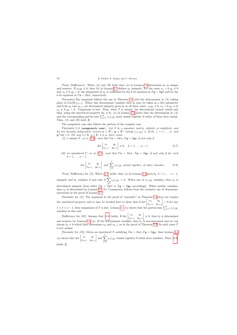*Proof.* [Sufficiency]. When (A) and (B) hold, then (a) in Lemma [5.1](#page-12-1) determines  $b_k$  as unique and nonzero. If  $x_k y_k \neq 0$ , then (b) in Lemma [5.1](#page-12-1) defines  $a_k$  uniquely. For the cases  $x_k = 0, y_k \neq 0$ and  $x_k \neq 0, y_k = 0$ , the uniqueness of  $a_k$  is confirmed by the k-th equation in  $T\mathbf{y} = S\mathbf{y}\lambda$  and by the k-th equation in  $T\mathbf{x} = S\mathbf{x}\lambda$ , respectively.

[Necessity]. The argument follows the one in Theorem [4.2](#page-6-4) with the determinant in  $(A)$  taking place of  $\mathcal{I}m(\overline{x_k} x_{k+1})$ . When this determinant vanishes then  $b_k$  may be taken as a free parameter and both  $a_k$  and  $a_{k+1}$  are determined uniquely given  $b_k$  in all three cases:  $x_k y_k \neq 0; x_k = 0, y_k \neq 0;$  $x_k \neq 0, y_k = 0.$  Uniqueness is lost. Thus, when T is unique, the determinant cannot vanish and then, using the unreduced property  $(b_k \neq 0)$ ,  $(a)$  in Lemma [5.1](#page-12-1) shows that the determinant in  $(A)$ and the corresponding partial sum  $\sum_{j=1}^{k} s_j x_j y_j$  must vanish together if either of them does vanish. Thus,  $(A)$  and  $(B)$  hold.  $\square$ 

The nongeneric case also follows the pattern of the complex case.

THEOREM  $5.3$  (nongeneric case). Let  $S$  be a signature matrix, definite or indefinite, and let two linearly independent vectors  $\mathbf{x} \in \mathbb{R}^n$ ,  $\mathbf{y} \in \mathbb{R}^n$  satisfy  $(x_j, y_j) \neq (0, 0)$ ,  $j = 1, \ldots, n$ , and  $y^T S x = 0$ . For any  $\lambda \in \mathbb{R}$ ,  $\mu \in \mathbb{R}$ ,  $\lambda \neq \mu$ , there exists

(I) a unique T, as in [\(2.1\)](#page-2-1), such that  $Tx = Sx\lambda$ ,  $Ty = Sy\mu$  if and only if

$$
\det\begin{bmatrix} x_k & y_k \\ x_{k+1} & y_{k+1} \end{bmatrix} \neq 0, \quad k = 1, \dots, n-1.
$$
 (5.7)

(II) an unreduced T, as in [\(2.1\)](#page-2-1), such that  $T x = S x \lambda$ ,  $T y = S y \mu$  if and only if for each  $k = 1, \ldots, n - 1,$ 

$$
\det \begin{bmatrix} x_k & y_k \\ x_{k+1} & y_{k+1} \end{bmatrix} \text{ and } \sum_{j=1}^k s_j x_j y_j \text{ vanish together, if either vanishes.} \tag{5.8}
$$

<span id="page-14-2"></span>*Proof.* [Sufficiency for (I)]. When [\(5.7\)](#page-14-0) holds, then (a) in Lemma [5.1](#page-12-1) gives  $b_k$ ,  $k = 1, ..., n - 1$ , uniquely and  $b_k$  vanishes if and only if  $\sum_k$  $j=1$  $s_jx_jy_j = 0$ . When one of  $x_k, y_k$  vanishes, then  $a_k$  is determined uniquely from either  $T\mathbf{x} = S\mathbf{x}\lambda$  or  $T\mathbf{y} = S\mathbf{y}\mu$  accordingly. When neither vanishes, then  $a_k$  is determined by Lemma [5.1](#page-12-1) (b). Consistency follows from the exclusive use of elementary operations in the proof of Lemma [5.1.](#page-12-1)

<span id="page-14-0"></span>[Necessity for (I)]. The argument in the proof of "necessity" in Theorem [5.2](#page-13-6) does not require the unreduced property and so may be invoked here to show that if det  $\begin{bmatrix} x_k & y_k \\ x_{k+1} & y_{k+1} \end{bmatrix} = 0$  for any  $1 \leq k \leq n-1$ , then uniqueness of T is lost. Lemma [5.1](#page-12-1) (a) shows that the partial sum  $\sum_{j=1}^{k} s_j x_j y_j$ vanishes in this case.

<span id="page-14-1"></span>[Sufficiency for *(II)*]. Assume that [\(5.8\)](#page-14-1) holds. If det  $\begin{bmatrix} x_k & y_k \\ x_{k+1} & y_{k+1} \end{bmatrix} \neq 0$ , then  $b_k$  is determined and nonzero by Lemma [5.1](#page-12-1) (a). If the determinant vanishes, then  $b_k$  is unconstrained and we can choose  $b_k \neq 0$  which then determines  $a_k$  and  $a_{k+1}$  as in the proof of Theorem [5.2.](#page-13-6) In such cases T is not unique.

[Necessity for *(II)*]. Given an unreduced T satisfying  $Tx = Sx\lambda$ ,  $Ty = Sy\mu$ , then Lemma [5.1](#page-12-1) (a) shows that det  $\begin{bmatrix} x_k & y_k \\ x_{k+1} & y_{k+1} \end{bmatrix}$  and  $\sum_{k=1}^k$  $j=1$  $s_jx_jy_j$  vanish together if either does vanishes. Thus, [\(5.8\)](#page-14-1) holds.  $\square$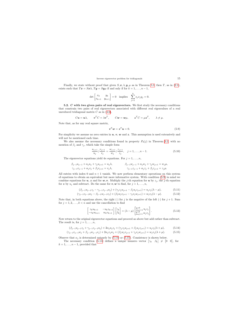Finally, we state without proof that given  $S, \mathbf{x}, \lambda, \mathbf{y}, \mu$  as in Theorem [5.3,](#page-14-2) then T, as in [\(2.1\)](#page-2-1), exists such that  $Tx = Sx\lambda$ ,  $Ty = Sy\mu$  if and only if for  $k = 1, ..., n - 1$ ,

$$
\det \begin{bmatrix} x_k & y_k \\ x_{k+1} & y_{k+1} \end{bmatrix} = 0 \quad \text{implies} \quad \sum_{j=1}^k s_j x_j y_j = 0.
$$

5.2. C with two given pairs of real eigenvectors. We first study the necessary conditions that constrain two pairs of real eigenvectors associated with different real eigenvalues of a real unreduced tridiagonal matrix  $C$  as in  $(4.6)$ ,

$$
C\mathbf{u} = \mathbf{u}\lambda
$$
,  $\mathbf{v}^T C = \lambda \mathbf{v}^T$ ,  $C\mathbf{w} = \mathbf{w}\mu$ ,  $\mathbf{z}^T C = \mu \mathbf{z}^T$ ,  $\lambda \neq \mu$ .

Note that, as for any real square matrix,

$$
\boldsymbol{v}^T \boldsymbol{w} = \boldsymbol{z}^T \boldsymbol{u} = 0. \tag{5.9}
$$

For simplicity we assume no zero entries in  $u, v, w$  and  $z$ . This assumption is used extensively and will not be mentioned each time.

We also assume the necessary conditions found in property  $P_2(j)$  in Theorem [3.2,](#page-3-0) with no mention of  $\beta_j$  and  $\gamma_j$ , which take the simple form

$$
\frac{u_{j+1}}{u_j} / \frac{v_{j+1}}{v_j} = \frac{w_{j+1}}{w_j} / \frac{z_{j+1}}{z_j}, \quad j = 1, \dots, n-1.
$$
\n(5.10)

The eigenvector equations yield 4n equations. For  $j = 1, \ldots, n$ ,

$$
\beta_{j-1}u_{j-1} + \alpha_j u_j + \gamma_j u_{j+1} = u_j \lambda, \qquad \beta_{j-1}w_{j-1} + \alpha_j w_j + \gamma_j w_{j+1} = w_j \mu,
$$
  

$$
\gamma_{j-1}v_{j-1} + \alpha_j v_j + \beta_j v_{j+1} = v_j \lambda, \qquad \gamma_{j-1}z_{j-1} + \alpha_j z_j + \beta_j z_{j+1} = z_j \mu.
$$

All entries with index 0 and  $n + 1$  vanish. We now perform elementary operations on this system of equations to obtain an equivalent but more informative system. With condition [\(5.9\)](#page-15-0) in mind we combine equations for  $u, z$  and for  $w, v$ . Multiply the j-th equation for u by  $z_j$ , the j-th equation for z by  $u_j$  and subtract. Do the same for  $v, w$  to find, for  $j = 1, \ldots, n$ ,

<span id="page-15-0"></span>
$$
(\beta_{j-1}u_{j-1}z_j - \gamma_{j-1}z_{j-1}u_j) + (\gamma_j z_j u_{j+1} - \beta_j u_j z_{j+1}) = u_j z_j(\lambda - \mu),
$$
\n(5.11)

$$
(\gamma_{j-1}v_{j-1}w_j - \beta_{j-1}w_{j-1}v_j) + (\beta_j w_j v_{j+1} - \gamma_j v_j w_{j+1}) = w_j v_j (\lambda - \mu).
$$
 (5.12)

<span id="page-15-6"></span>Note that, in both equations above, the right  $(\cdot)$  for j is the negative of the left  $(\cdot)$  for  $j + 1$ . Sum for  $j = 1, 2, \ldots, k < n$  and use the cancellation to find

<span id="page-15-5"></span><span id="page-15-4"></span><span id="page-15-3"></span>
$$
\begin{bmatrix} z_k u_{k+1} & -u_k z_{k+1} \\ -v_k w_{k+1} & w_k v_{k+1} \end{bmatrix} \begin{bmatrix} \gamma_k \\ \beta_k \end{bmatrix} = (\lambda - \mu) \begin{bmatrix} \sum_{j=1}^k u_j z_j \\ \sum_{j=1}^k w_j v_j \end{bmatrix} . \tag{5.13}
$$

Now return to the original eigenvector equations and proceed as above but add rather than subtract. The result is, for  $j = 1, \ldots, n$ ,

$$
(\beta_{j-1}u_{j-1}z_j + \gamma_{j-1}z_{j-1}u_j) + 2\alpha_j u_j z_j + (\gamma_j z_j u_{j+1} + \beta_j u_j z_{j+1}) = u_j z_j(\lambda + \mu),
$$
\n(5.14)

<span id="page-15-2"></span><span id="page-15-1"></span>
$$
(\gamma_{j-1}v_{j-1}w_j + \beta_{j-1}w_{j-1}v_j) + 2\alpha_jv_jw_j + (\beta_jw_jv_{j+1} + \gamma_jv_jw_{j+1}) = w_jv_j(\lambda + \mu). \tag{5.15}
$$

Observe that  $\alpha_i$  is determined uniquely by [\(5.14\)](#page-15-1) or [\(5.15\)](#page-15-2). Consistency is shown below.

The necessary condition [\(5.13\)](#page-15-3) defines a unique nonzero vector  $[\gamma_k \quad \beta_k] \neq [0 \quad 0]$ , for  $k = 1, \ldots, n-1$ , provided that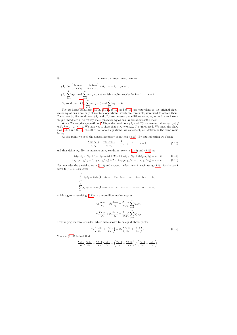16 B. Parlett, F. Dopico and C. Ferreira

(A) det 
$$
\begin{bmatrix} z_k u_{k+1} & -u_k z_{k+1} \\ -v_k w_{k+1} & w_k v_{k+1} \end{bmatrix} \neq 0
$$
,  $k = 1, ..., n-1$ ,  
\n(B)  $\sum_{j=1}^k u_j z_j$  and  $\sum_{j=1}^k w_j v_j$  do not vanish simultaneously for  $k = 1, ..., n-1$ .  
\nBy condition (5.9),  $\sum_{j=1}^n w_j v_j = 0$  and  $\sum_{j=1}^n u_j z_j = 0$ .

The  $4n$  linear equations  $(5.11)$ ,  $(5.12)$ ,  $(5.14)$  and  $(5.15)$  are equivalent to the original eigenvector equations since only elementary operations, which are reversible, were used to obtain them. Consequently, the conditions (A) and (B) are necessary conditions on  $u, v, w$  and z to have a unique unreduced  $C$  to satisfy the eigenvector equations. What about sufficiency?

When C is not given, equations [\(5.13\)](#page-15-3), under conditions (A) and (B), determine unique  $[\gamma_k, \beta_k] \neq$  $[0, 0], k = 1, \ldots, n - 1$ . We have yet to show that  $\beta_k \gamma_k \neq 0$ , i.e., C is unreduced. We must also show that [\(5.14\)](#page-15-1) and [\(5.15\)](#page-15-2), the other half of our equations, are consistent, i.e., determine the same value for  $\alpha_j$ .

At this point we need the unused necessary conditions [\(5.10\)](#page-15-6). By multiplication we obtain

$$
\frac{u_{j+1}z_{j+1}}{u_jz_j} = \frac{v_{j+1}w_{j+1}}{v_jw_j} =: \frac{1}{\sigma_j}, \quad j = 1, \dots, n-1,
$$
\n(5.16)

and thus define  $\sigma_j$ . By the nonzero entry condition, rewrite [\(5.14\)](#page-15-1) and [\(5.15\)](#page-15-2) as

$$
(\beta_{j-1}u_{j-1}/u_j + \gamma_{j-1}z_{j-1}/z_j) + 2\alpha_j + (\gamma_j u_{j+1}/u_j + \beta_j z_{j+1}/z_j) = \lambda + \mu,
$$
 (5.17)

$$
(\gamma_{j-1}v_{j-1}/v_j + \beta_{j-1}w_{j-1}/w_j) + 2\alpha_j + (\beta_j v_{j+1}/v_j + \gamma_j w_{j+1}/w_j) = \lambda + \mu.
$$
 (5.18)

Next consider the partial sums in [\(5.13\)](#page-15-3) and extract the last term in each, using [\(5.16\)](#page-16-0), for  $j = k - 1$ down to  $j = 1$ . This gives

$$
\sum_{j=1}^{k} u_j z_j = u_k z_k (1 + \sigma_{k-1} + \sigma_{k-1} \sigma_{k-2} + \dots + \sigma_{k-1} \sigma_{k-2} \cdots \sigma_1),
$$
  

$$
\sum_{j=1}^{k} v_j w_j = v_k w_k (1 + \sigma_{k-1} + \sigma_{k-1} \sigma_{k-2} + \dots + \sigma_{k-1} \sigma_{k-2} \cdots \sigma_1),
$$

<span id="page-16-0"></span>which suggests rewriting  $(5.13)$  in a more illuminating way as

k

<span id="page-16-2"></span><span id="page-16-1"></span>
$$
\gamma_k \frac{u_{k+1}}{u_k} - \beta_k \frac{z_{k+1}}{z_k} = \frac{\lambda - \mu}{u_k z_k} \sum_{j=1}^k u_j z_j,
$$

$$
-\gamma_k \frac{w_{k+1}}{w_k} + \beta_k \frac{v_{k+1}}{v_k} = \frac{\lambda - \mu}{w_k v_k} \sum_{j=1}^k w_j v_j.
$$

Rearranging the two left sides, which were shown to be equal above, yields

$$
\gamma_k \left( \frac{u_{k+1}}{u_k} + \frac{w_{k+1}}{w_k} \right) = \beta_k \left( \frac{v_{k+1}}{v_k} + \frac{z_{k+1}}{z_k} \right). \tag{5.19}
$$

Now use [\(5.10\)](#page-15-6) to find that

$$
\frac{u_{k+1}}{u_k} / \frac{v_{k+1}}{v_k} = \frac{w_{k+1}}{w_k} / \frac{z_{k+1}}{z_k} = \left(\frac{u_{k+1}}{u_k} + \frac{w_{k+1}}{w_k}\right) / \left(\frac{v_{k+1}}{v_k} + \frac{z_{k+1}}{z_k}\right)
$$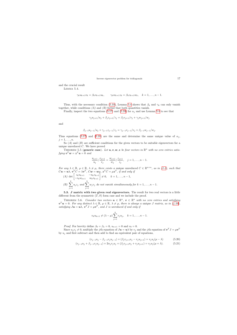and the crucial result

Lemma 5.4.

$$
\gamma_k u_{k+1} v_k = \beta_k v_{k+1} u_k, \qquad \gamma_k w_{k+1} z_k = \beta_k z_{k+1} w_k, \quad k = 1, \dots, n-1.
$$

Thus, with the necessary condition [\(5.10\)](#page-15-6), Lemma [5.4](#page-17-0) shows that  $\beta_k$  and  $\gamma_k$  can only vanish together, while conditions  $(A)$  and  $(B)$  forbid that both quantities vanish.

Finally, inspect the two equations [\(5.17\)](#page-16-1) and [\(5.18\)](#page-16-2) for  $\alpha_j$  and use Lemma [5.4](#page-17-0) to see that

$$
\gamma_j u_{j+1}/u_j + \beta_j z_{j+1}/z_j = \beta_j v_{j+1}/v_j + \gamma_j w_{j+1}/w_j
$$

and

$$
\beta_{j-1}u_{j-1}/u_j + \gamma_{j-1}z_{j-1}/z_j = \gamma_{j-1}v_{j-1}/v_j + \beta_{j-1}w_{j-1}/w_j.
$$

Thus equations [\(5.17\)](#page-16-1) and [\(5.18\)](#page-16-2) are the same and determine the same unique value of  $\alpha_i$ ,  $i=1,\ldots,n$ .

<span id="page-17-0"></span>So  $(A)$  and  $(B)$  are sufficient conditions for the given vectors to be suitable eigenvectors for a unique unreduced C. We have proved

THEOREM 5.5 (generic case). Let  $u, v, w, z$  be four vectors in  $\mathbb{R}^n$  with no zero entries satisfying  $\mathbf{v}^T\mathbf{w} = \mathbf{z}^T\mathbf{u} = 0$  and

$$
\frac{u_{j+1}}{u_j} / \frac{v_{j+1}}{v_j} = \frac{w_{j+1}}{w_j} / \frac{z_{j+1}}{z_j}, \quad j = 1, \dots, n-1.
$$

For any  $\lambda \in \mathbb{R}$ ,  $\mu \in \mathbb{R}$ ,  $\lambda \neq \mu$ , there exists a unique unreduced  $C \in \mathbb{R}^{n \times n}$ , as in [\(2.2\)](#page-2-3), such that  $C\bm{u} = \bm{u}\lambda, \bm{v}^T C = \lambda \bm{v}^T, C\bm{w} = \bm{w}\mu, \bm{z}^T C = \mu \bm{z}^T, \textit{if and only if}$ 

(A) det  $\begin{bmatrix} z_k u_{k+1} & -u_k z_{k+1} \\ -v_k w_{k+1} & w_k v_{k+1} \end{bmatrix} \neq 0, \quad k = 1, \ldots, n-1,$  $(B)$   $\sum_{k=1}^{k}$  $j=1$  $u_jz_j$  and  $\sum^k$  $j=1$  $w_jv_j$  do not vanish simultaneously for  $k = 1, \ldots, n - 1$ .

5.3. J matrix with two given real eigenvectors. The result for two real vectors is a little different from the symmetric  $(T, S)$  form case and we include the proof.

THEOREM 5.6. Consider two vectors  $u \in \mathbb{R}^n$ ,  $v \in \mathbb{R}^n$  with no zero entries and satisfying  $v^T u = 0$ . For any distinct  $\lambda \in \mathbb{R}$ ,  $\mu \in \mathbb{R}$ ,  $\lambda \neq \mu$ , there is always a unique J matrix, as in [\(4.20\)](#page-11-1), satisfying  $J\mathbf{u} = \mathbf{u}\lambda$ ,  $\mathbf{v}^T J = \mu \mathbf{v}^T$ , and J is unreduced if and only if

$$
v_k u_{k+1} \neq (\lambda - \mu) \sum_{j=1}^k v_j u_j, \quad k = 1, ..., n-1.
$$

*Proof.* For brevity define  $\beta_0 = \beta_n = 0$ ,  $u_{n+1} = 0$  and  $v_0 = 0$ .

Since  $u_j v_j \neq 0$ , multiply the jth equation of  $J\bm{u} = \bm{u}\lambda$  by  $v_j$  and the jth equation of  $\bm{v}^T J = \mu \bm{v}^T$ by  $u_i$  and first subtract and then add to find an equivalent pair of equations,

<span id="page-17-2"></span><span id="page-17-1"></span>
$$
(v_{j-1}u_j - \beta_{j-1}v_ju_{j-1}) + (\beta_j v_{j+1}u_j - v_ju_{j+1}) = v_j u_j(\mu - \lambda)
$$
\n(5.20)

$$
(v_{j-1}u_j + \beta_{j-1}v_ju_{j-1}) + 2\alpha_jv_ju_j + (\beta_jv_{j+1}u_j + v_ju_{j+1}) = v_ju_j(\mu + \lambda).
$$
 (5.21)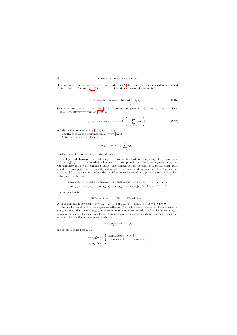Observe that the second (·) on the left hand side of [\(5.20\)](#page-17-1) for index  $j-1$  is the negative of the first (·) for index j. Now sum [\(5.20\)](#page-17-1) for  $j = 1, ..., k$ , and use the cancelation to find

$$
\beta_k v_{k+1} u_k - v_k u_{k+1} = (\mu - \lambda) \sum_{j=1}^k v_j u_j.
$$
\n(5.22)

Since no entry of **u** nor **v** vanishes, [\(5.22\)](#page-18-0) determines uniquely each  $\beta_k$ ,  $k = 1, \ldots, n-1$ . Since  $v^T u = 0$ , an alternative form of  $(5.22)$  is

$$
\beta_k v_{k+1} u_k - v_k u_{k+1} = (\mu - \lambda) \left( - \sum_{j=k+1}^n v_j u_j \right), \qquad (5.23)
$$

and this arises from summing [\(5.20\)](#page-17-1) for  $j = k + 1, \ldots, n$ .

Finally, each  $\alpha_j$  is determined uniquely by [\(5.21\)](#page-17-2).

Note that  $\beta_k$  vanishes if and only if

$$
v_k u_{k+1} = (\lambda - \mu) \sum_{j=1}^k v_j u_j,
$$

<span id="page-18-0"></span>in which case there is a strong constraint on  $\lambda - \mu$ .  $\square$ 

 $\sum$ **6. Up and Down.** If digital computers are to be used for computing the partial sums  $\sum_{j=1}^{k} s_j |x_j|^2$ ,  $j = 1, ..., n$ , needed in Lemma 4.1 to compute T from the given eigenvector  $x$ , then roundoff error is a serious concern because some cancellation in the sums is to be expected. Ideal would be to compute the  $|x_i|^2$  exactly and sum them in twice working precision. If extra precision is not available, we have to compute the partial sums with care. One approach is to compute them in two ways, as follows:

sum<sub>down</sub>(1) := 
$$
s_1|x_1|^2
$$
, sum<sub>down</sub>(k) := sum<sub>down</sub>(k-1) +  $s_k|x_k|^2$ ,  $k = 2,..., n$ ,  
\nsum<sub>up</sub>(n) :=  $s_n|x_n|^2$ , sum<sub>up</sub>(k) := sum<sub>up</sub>(k+1) +  $s_k|x_k|^2$ ,  $k = n - 1,..., 1$ .

In exact arithmetic

$$
\text{sum}_{\text{down}}(n) = 0
$$
 and  $\text{sum}_{\text{up}}(1) = 0$ .

With this notation, for each  $k, k = 1, ..., n-1$ , sum $_{down}(k) + sum_{up}(k+1) = x^*Sx = 0$ .

<span id="page-18-1"></span>We need to combine the two sequences with care. A sensible choice is to switch from sum<sub>down</sub> to  $sum_{\text{up}}$  at any index where sum<sub>down</sub> assumes its maximum absolute value. After this index sum<sub>down</sub> looses information with each cancellation. Similarly, sum<sub>up</sub> looses information with each cancellation going up. In practice, we compute  $l$  such that

$$
l := \arg\max_{k} |\operatorname{sum}_{\mathrm{down}}(k)|
$$

and create a spliced array by

$$
\label{eq:sum_p1} \begin{aligned} \text{sum}_{\text{spl}}(m) &= \left\{ \begin{array}{ll} \text{sum}_{\text{down}}(m), & m \leq l, \\ -\text{sum}_{\text{up}}(m+1), & l < m < n, \end{array} \right. \\ \text{sum}_{\text{spl}}(n) &= 0. \end{aligned}
$$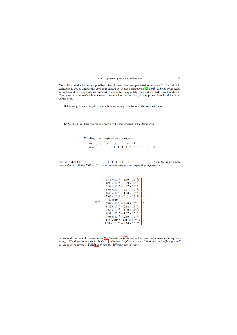More elaborated schemes are possible. One of these uses "compensated summation". This valuable technique is not as universally used as it should be. A good reference is  $[4, p.93]$ . In brief, some extra variables and extra operations are used to estimate the quantity that is discarded in each addition. Compensated summation is not exact; nevertheless, in our case, it has proved beneficial for large values of  $n$ .

Below we give an example to show how necessary it is to form the sum with care.

EXAMPLE 6.1. This matrix of order  $n=14$  was created in ST form with

$$
T = diag(a) + diag(b, -1) + diag(b, +1),
$$
  
\n
$$
a_j = (-1)^{j-1}(2j+3), \quad j = 1, ..., 14,
$$
  
\n
$$
b = \begin{bmatrix} 1 & 1 & 1 & 1 & 1 & 1 & 1 & 1 & 1 & 1 & 1 \end{bmatrix},
$$

and S=diag [1 1 1 1 1 1 1 1 1 1 1 1 1 1]. Giventheapproximate eigenvalue  $\lambda = 16.0 + 7.65 \times 10^{-2}$  i and the approximate corresponding eigenvector

$$
x = \begin{bmatrix}\n-3.56 \times 10^{-7} + 3.59 \times 10^{-8} \text{ i} \\
3.93 \times 10^{-6} - 3.69 \times 10^{-7} \text{ i} \\
3.59 \times 10^{-5} - 3.07 \times 10^{-6} \text{ i} \\
8.95 \times 10^{-4} - 7.37 \times 10^{-5} \text{ i} \\
2.42 \times 10^{-2} - 1.93 \times 10^{-3} \text{ i} \\
-7.05 \times 10^{-1} + 5.41 \times 10^{-2} \text{ i} \\
7.07 \times 10^{-1} \\
2.02 \times 10^{-2} - 4.40 \times 10^{-5} \text{ i} \\
-5.42 \times 10^{-4} + 2.32 \times 10^{-6} \text{ i} \\
-7.66 \times 10^{-5} - 4.90 \times 10^{-7} \text{ i} \\
8.52 \times 10^{-6} + 1.27 \times 10^{-7} \text{ i} \\
1.98 \times 10^{-7} + 2.60 \times 10^{-9} \text{ i} \\
-4.39 \times 10^{-9} - 5.02 \times 10^{-11} \text{ i} \\
9.34 \times 10^{-11} + 9.16 \times 10^{-13} \text{ i}\n\end{bmatrix}
$$

 $\overline{\phantom{a}}$ 

we compute the new b according to the formula in  $(4.3)$  using the values of sumdown, summa and sum<sub>spl</sub>. We show the results in Table 6.1. The new b spliced at index 6 is shown in boldface (as well as the relative errors). Table  $6.2$  shows the different partial sums.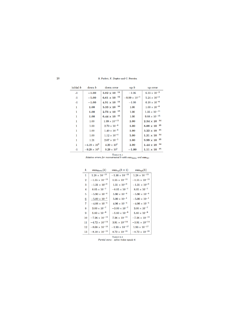| initial b | $down$ $b$            | down error             | $_{\rm up}$ $_{\rm b}$ | up error               |
|-----------|-----------------------|------------------------|------------------------|------------------------|
| $-1$      | $-1.00$               | 11<br>$3.02\times10$   | $-1.06$                | $6.33 \times 10^{-2}$  |
| $-1$      | $-1.00$               | 12<br>$6.61 \times 10$ | $-9.99 \times 10^{-1}$ | $5.24 \times 10^{-4}$  |
| $-1$      | $-1.00$               | 11<br>$4.91 \times 10$ | $-1.00$                | $6.18 \times 10^{-6}$  |
| 1         | 1.00                  | 16<br>$3.33 \times 10$ | 1.00                   | $1.00 \times 10^{-8}$  |
| 1         | 1.00                  | 13<br>$2.73 \times 10$ | 1.00                   | $1.35\times10^{-11}$   |
| 1         | 1.00                  | $6.44 \times 10^{-15}$ | 1.00                   | $9.88\times10^{-15}$   |
| 1         | 1.00                  | $1.99 \times 10^{-11}$ | 1.00                   | $2.34\times10^{-14}$   |
| 1         | 1.00                  | $2.70 \times 10^{-8}$  | 1.00                   | 15<br>$8.88 \times 10$ |
| 1         | 1.00                  | $1.40 \times 10^{-6}$  | 1.00                   | 15<br>$3.22 \times 10$ |
| 1         | 1.00                  | $1.12 \times 10^{-4}$  | 1.00                   | 14<br>$1.31\times10$   |
| 1         | 1.21                  | $2.07 \times 10^{-1}$  | 1.00                   | 15<br>$9.99 \times 10$ |
| 1         | $-4.19 \times 10^{2}$ | $4.20 \times 10^{2}$   | 1.00                   | 14<br>$1.44 \times 10$ |
| $-1$      | $-9.29\times10^{5}$   | $9.29 \times 10^{5}$   | $-1.00$                | 15<br>$1.11 \times 10$ |

TABLE 6.1

Relative errors for reconstructed b with  $sum_{down}$  and  $sum_{up}$ 

| $\boldsymbol{k}$ | $sum_{down}(k)$         | $sum_{\text{up}}(k+1)$  | $sum_{\rm spl}(k)$      |
|------------------|-------------------------|-------------------------|-------------------------|
| 1                | $1.28 \times 10^{-13}$  | $-1.36 \times 10^{-13}$ | $1.28 \times 10^{-13}$  |
| $\bf{2}$         | $-1.55 \times 10^{-11}$ | $1.55 \times 10^{-11}$  | $-1.55 \times 10^{-11}$ |
| 3                | $-1.31 \times 10^{-9}$  | $1.31 \times 10^{-9}$   | $-1.31 \times 10^{-9}$  |
| 4                | $8.05 \times 10^{-7}$   | $-8.05 \times 10^{-7}$  | $8.05 \times 10^{-7}$   |
| 5                | $-5.90 \times 10^{-4}$  | $5.90 \times 10^{-4}$   | $-5.90 \times 10^{-4}$  |
| $6\phantom{1}6$  | $-5.00 \times 10^{-1}$  | $5.00 \times 10^{-1}$   | $-5.00 \times 10^{-1}$  |
| 7                | $-4.06 \times 10^{-4}$  | $4.06 \times 10^{-4}$   | $-4.06 \times 10^{-4}$  |
| 8                | $3.00 \times 10^{-7}$   | $-3.00 \times 10^{-7}$  | $3.00 \times 10^{-7}$   |
| 9                | $5.80 \times 10^{-9}$   | $-5.80 \times 10^{-9}$  | $5.80 \times 10^{-9}$   |
| 10               | $-7.26 \times 10^{-11}$ | $7.26 \times 10^{-11}$  | $-7.26 \times 10^{-11}$ |
| 11               | $-4.72 \times 10^{-14}$ | $3.91 \times 10^{-14}$  | $-3.91\times10^{-14}$   |
| 12               | $-8.08 \times 10^{-15}$ | $-1.93 \times 10^{-17}$ | $1.93 \times 10^{-17}$  |
| 13               | $-8.10 \times 10^{-15}$ | $8.72 \times 10^{-21}$  | $-8.72 \times 10^{-21}$ |

<span id="page-20-1"></span><span id="page-20-0"></span>TABLE  $6.2$ Partial sums - splice index equals 6.